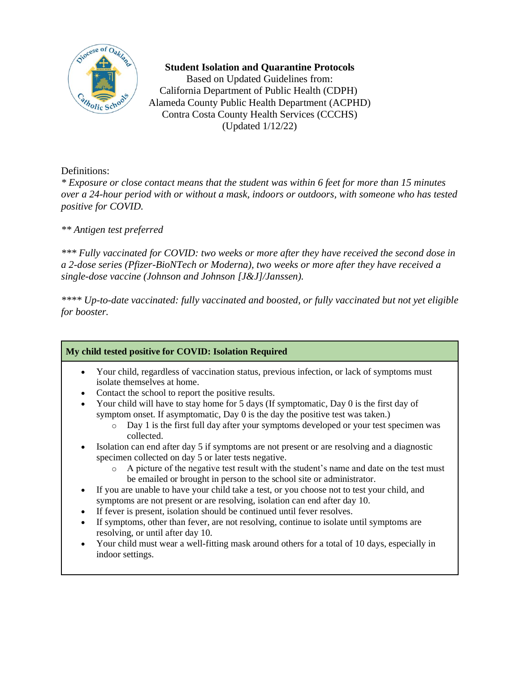

### **Student Isolation and Quarantine Protocols**

Based on Updated Guidelines from: California Department of Public Health (CDPH) Alameda County Public Health Department (ACPHD) Contra Costa County Health Services (CCCHS) (Updated 1/12/22)

## Definitions:

*\* Exposure or close contact means that the student was within 6 feet for more than 15 minutes over a 24-hour period with or without a mask, indoors or outdoors, with someone who has tested positive for COVID.*

# *\*\* Antigen test preferred*

*\*\*\* Fully vaccinated for COVID: two weeks or more after they have received the second dose in a 2-dose series (Pfizer-BioNTech or Moderna), two weeks or more after they have received a single-dose vaccine (Johnson and Johnson [J&J]/Janssen).*

*\*\*\*\* Up-to-date vaccinated: fully vaccinated and boosted, or fully vaccinated but not yet eligible for booster.*

### **My child tested positive for COVID: Isolation Required**

- Your child, regardless of vaccination status, previous infection, or lack of symptoms must isolate themselves at home.
- Contact the school to report the positive results.
- Your child will have to stay home for 5 days (If symptomatic, Day 0 is the first day of symptom onset. If asymptomatic, Day 0 is the day the positive test was taken.)
	- o Day 1 is the first full day after your symptoms developed or your test specimen was collected.
- Isolation can end after day 5 if symptoms are not present or are resolving and a diagnostic specimen collected on day 5 or later tests negative.
	- $\circ$  A picture of the negative test result with the student's name and date on the test must be emailed or brought in person to the school site or administrator.
- If you are unable to have your child take a test, or you choose not to test your child, and symptoms are not present or are resolving, isolation can end after day 10.
- If fever is present, isolation should be continued until fever resolves.
- If symptoms, other than fever, are not resolving, continue to isolate until symptoms are resolving, or until after day 10.
- Your child must wear a well-fitting mask around others for a total of 10 days, especially in indoor settings.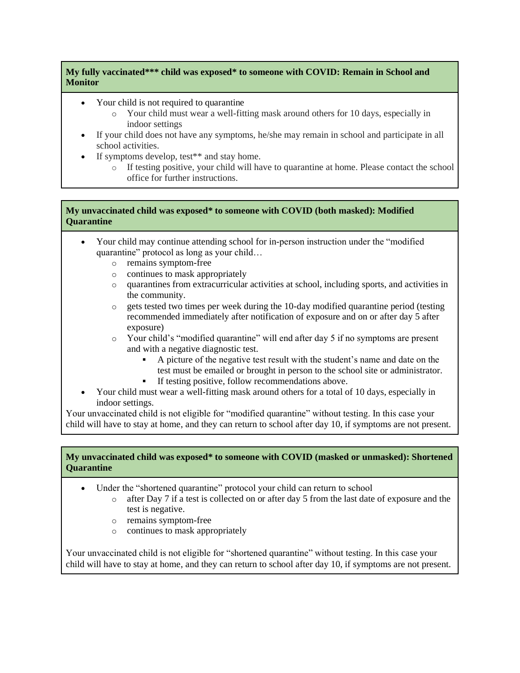#### **My fully vaccinated\*\*\* child was exposed\* to someone with COVID: Remain in School and Monitor**

- Your child is not required to quarantine
	- o Your child must wear a well-fitting mask around others for 10 days, especially in indoor settings
- If your child does not have any symptoms, he/she may remain in school and participate in all school activities.
- If symptoms develop, test<sup>\*\*</sup> and stay home.
	- o If testing positive, your child will have to quarantine at home. Please contact the school office for further instructions.

#### **My unvaccinated child was exposed\* to someone with COVID (both masked): Modified Quarantine**

- Your child may continue attending school for in-person instruction under the "modified quarantine" protocol as long as your child…
	- o remains symptom-free
	- o continues to mask appropriately
	- o quarantines from extracurricular activities at school, including sports, and activities in the community.
	- $\circ$  gets tested two times per week during the 10-day modified quarantine period (testing recommended immediately after notification of exposure and on or after day 5 after exposure)
	- o Your child's "modified quarantine" will end after day 5 if no symptoms are present and with a negative diagnostic test.
		- A picture of the negative test result with the student's name and date on the test must be emailed or brought in person to the school site or administrator.
		- **•** If testing positive, follow recommendations above.
- Your child must wear a well-fitting mask around others for a total of 10 days, especially in indoor settings.

Your unvaccinated child is not eligible for "modified quarantine" without testing. In this case your child will have to stay at home, and they can return to school after day 10, if symptoms are not present.

#### **My unvaccinated child was exposed\* to someone with COVID (masked or unmasked): Shortened Quarantine**

- Under the "shortened quarantine" protocol your child can return to school
	- $\circ$  after Day 7 if a test is collected on or after day 5 from the last date of exposure and the test is negative.
	- o remains symptom-free
	- o continues to mask appropriately

Your unvaccinated child is not eligible for "shortened quarantine" without testing. In this case your child will have to stay at home, and they can return to school after day 10, if symptoms are not present.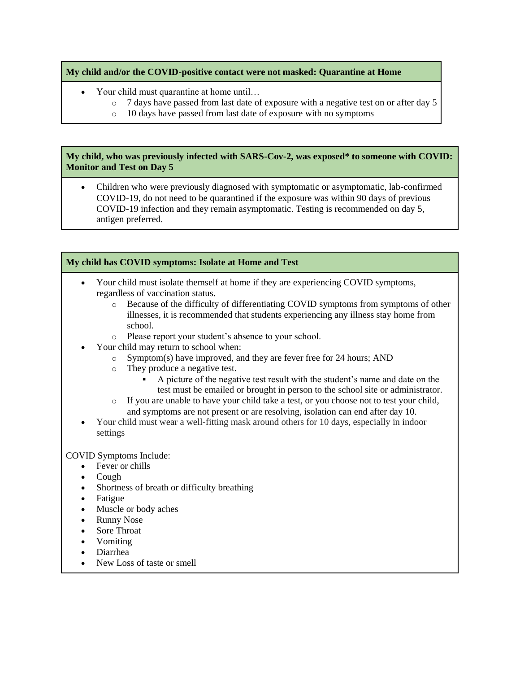#### **My child and/or the COVID-positive contact were not masked: Quarantine at Home**

- Your child must quarantine at home until…
	- o 7 days have passed from last date of exposure with a negative test on or after day 5
	- o 10 days have passed from last date of exposure with no symptoms

#### **My child, who was previously infected with SARS-Cov-2, was exposed\* to someone with COVID: Monitor and Test on Day 5**

• Children who were previously diagnosed with symptomatic or asymptomatic, lab-confirmed COVID-19, do not need to be quarantined if the exposure was within 90 days of previous COVID-19 infection and they remain asymptomatic. Testing is recommended on day 5, antigen preferred.

#### **My child has COVID symptoms: Isolate at Home and Test**

- Your child must isolate themself at home if they are experiencing COVID symptoms, regardless of vaccination status.
	- o Because of the difficulty of differentiating COVID symptoms from symptoms of other illnesses, it is recommended that students experiencing any illness stay home from school.
	- o Please report your student's absence to your school.
	- Your child may return to school when:
		- o Symptom(s) have improved, and they are fever free for 24 hours; AND
		- o They produce a negative test.
			- A picture of the negative test result with the student's name and date on the test must be emailed or brought in person to the school site or administrator.
		- o If you are unable to have your child take a test, or you choose not to test your child, and symptoms are not present or are resolving, isolation can end after day 10.
- Your child must wear a well-fitting mask around others for 10 days, especially in indoor settings

COVID Symptoms Include:

- Fever or chills
- Cough
- Shortness of breath or difficulty breathing
- Fatigue
- Muscle or body aches
- Runny Nose
- Sore Throat
- Vomiting
- Diarrhea
- New Loss of taste or smell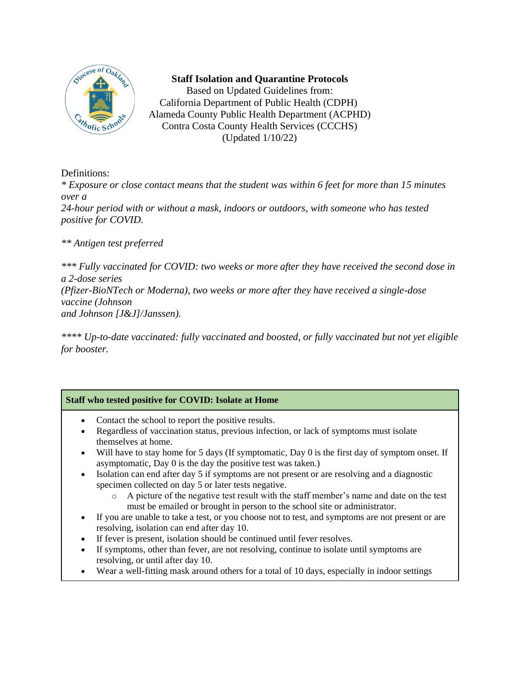

### **Staff Isolation and Quarantine Protocols**

Based on Updated Guidelines from: California Department of Public Health (CDPH) Alameda County Public Health Department (ACPHD) Contra Costa County Health Services (CCCHS) (Updated 1/10/22)

Definitions:

*\* Exposure or close contact means that the student was within 6 feet for more than 15 minutes over a* 

*24-hour period with or without a mask, indoors or outdoors, with someone who has tested positive for COVID.*

*\*\* Antigen test preferred*

*\*\*\* Fully vaccinated for COVID: two weeks or more after they have received the second dose in a 2-dose series (Pfizer-BioNTech or Moderna), two weeks or more after they have received a single-dose vaccine (Johnson and Johnson [J&J]/Janssen).*

*\*\*\*\* Up-to-date vaccinated: fully vaccinated and boosted, or fully vaccinated but not yet eligible for booster.*

### **Staff who tested positive for COVID: Isolate at Home**

- Contact the school to report the positive results.
- Regardless of vaccination status, previous infection, or lack of symptoms must isolate themselves at home.
- Will have to stay home for 5 days (If symptomatic, Day 0 is the first day of symptom onset. If asymptomatic, Day 0 is the day the positive test was taken.)
- Isolation can end after day 5 if symptoms are not present or are resolving and a diagnostic specimen collected on day 5 or later tests negative.
	- o A picture of the negative test result with the staff member's name and date on the test must be emailed or brought in person to the school site or administrator.
- If you are unable to take a test, or you choose not to test, and symptoms are not present or are resolving, isolation can end after day 10.
- If fever is present, isolation should be continued until fever resolves.
- If symptoms, other than fever, are not resolving, continue to isolate until symptoms are resolving, or until after day 10.
- Wear a well-fitting mask around others for a total of 10 days, especially in indoor settings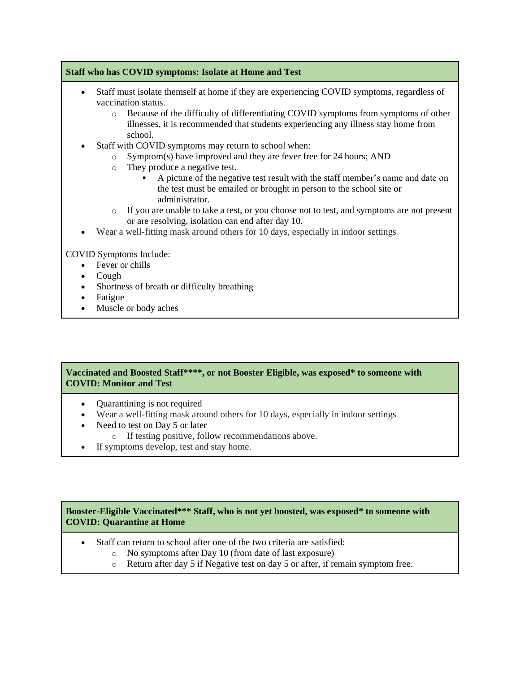### **Staff who has COVID symptoms: Isolate at Home and Test**

- Staff must isolate themself at home if they are experiencing COVID symptoms, regardless of vaccination status.
	- o Because of the difficulty of differentiating COVID symptoms from symptoms of other illnesses, it is recommended that students experiencing any illness stay home from school.
- Staff with COVID symptoms may return to school when:
	- o Symptom(s) have improved and they are fever free for 24 hours; AND
	- o They produce a negative test.
		- A picture of the negative test result with the staff member's name and date on the test must be emailed or brought in person to the school site or administrator.
	- o If you are unable to take a test, or you choose not to test, and symptoms are not present or are resolving, isolation can end after day 10.
- Wear a well-fitting mask around others for 10 days, especially in indoor settings

COVID Symptoms Include:

- Fever or chills
- Cough
- Shortness of breath or difficulty breathing
- Fatigue
- Muscle or body aches

#### **Vaccinated and Boosted Staff\*\*\*\*, or not Booster Eligible, was exposed\* to someone with COVID: Monitor and Test**

- Quarantining is not required
- Wear a well-fitting mask around others for 10 days, especially in indoor settings
- Need to test on Day 5 or later
	- o If testing positive, follow recommendations above.
- If symptoms develop, test and stay home.

#### **Booster-Eligible Vaccinated\*\*\* Staff, who is not yet boosted, was exposed\* to someone with COVID: Quarantine at Home**

- Staff can return to school after one of the two criteria are satisfied:
	- o No symptoms after Day 10 (from date of last exposure)
	- o Return after day 5 if Negative test on day 5 or after, if remain symptom free.